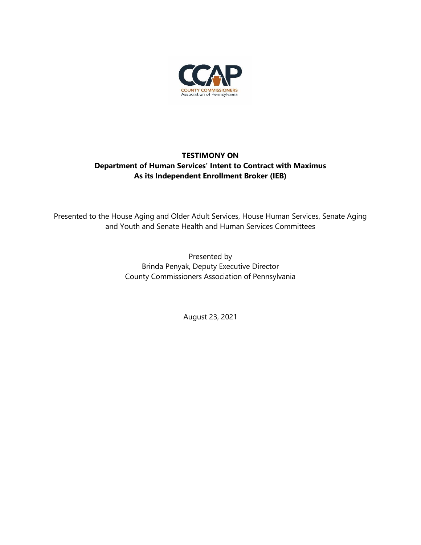

## **TESTIMONY ON Department of Human Services' Intent to Contract with Maximus As its Independent Enrollment Broker (IEB)**

Presented to the House Aging and Older Adult Services, House Human Services, Senate Aging and Youth and Senate Health and Human Services Committees

> Presented by Brinda Penyak, Deputy Executive Director County Commissioners Association of Pennsylvania

> > August 23, 2021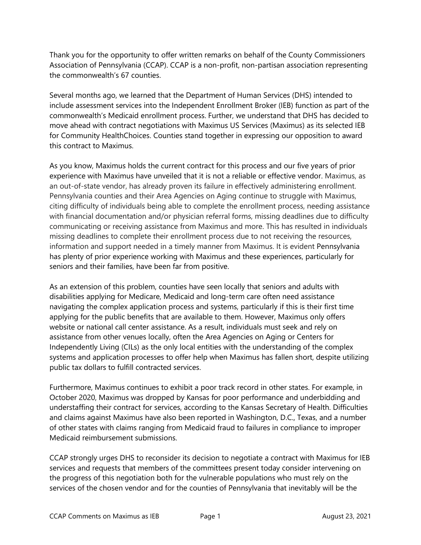Thank you for the opportunity to offer written remarks on behalf of the County Commissioners Association of Pennsylvania (CCAP). CCAP is a non-profit, non-partisan association representing the commonwealth's 67 counties.

Several months ago, we learned that the Department of Human Services (DHS) intended to include assessment services into the Independent Enrollment Broker (IEB) function as part of the commonwealth's Medicaid enrollment process. Further, we understand that DHS has decided to move ahead with contract negotiations with Maximus US Services (Maximus) as its selected IEB for Community HealthChoices. Counties stand together in expressing our opposition to award this contract to Maximus.

As you know, Maximus holds the current contract for this process and our five years of prior experience with Maximus have unveiled that it is not a reliable or effective vendor. Maximus, as an out-of-state vendor, has already proven its failure in effectively administering enrollment. Pennsylvania counties and their Area Agencies on Aging continue to struggle with Maximus, citing difficulty of individuals being able to complete the enrollment process, needing assistance with financial documentation and/or physician referral forms, missing deadlines due to difficulty communicating or receiving assistance from Maximus and more. This has resulted in individuals missing deadlines to complete their enrollment process due to not receiving the resources, information and support needed in a timely manner from Maximus. It is evident Pennsylvania has plenty of prior experience working with Maximus and these experiences, particularly for seniors and their families, have been far from positive.

As an extension of this problem, counties have seen locally that seniors and adults with disabilities applying for Medicare, Medicaid and long-term care often need assistance navigating the complex application process and systems, particularly if this is their first time applying for the public benefits that are available to them. However, Maximus only offers website or national call center assistance. As a result, individuals must seek and rely on assistance from other venues locally, often the Area Agencies on Aging or Centers for Independently Living (CILs) as the only local entities with the understanding of the complex systems and application processes to offer help when Maximus has fallen short, despite utilizing public tax dollars to fulfill contracted services.

Furthermore, Maximus continues to exhibit a poor track record in other states. For example, in October 2020, Maximus was dropped by Kansas for poor performance and underbidding and understaffing their contract for services, according to the Kansas Secretary of Health. Difficulties and claims against Maximus have also been reported in Washington, D.C., Texas, and a number of other states with claims ranging from Medicaid fraud to failures in compliance to improper Medicaid reimbursement submissions.

CCAP strongly urges DHS to reconsider its decision to negotiate a contract with Maximus for IEB services and requests that members of the committees present today consider intervening on the progress of this negotiation both for the vulnerable populations who must rely on the services of the chosen vendor and for the counties of Pennsylvania that inevitably will be the